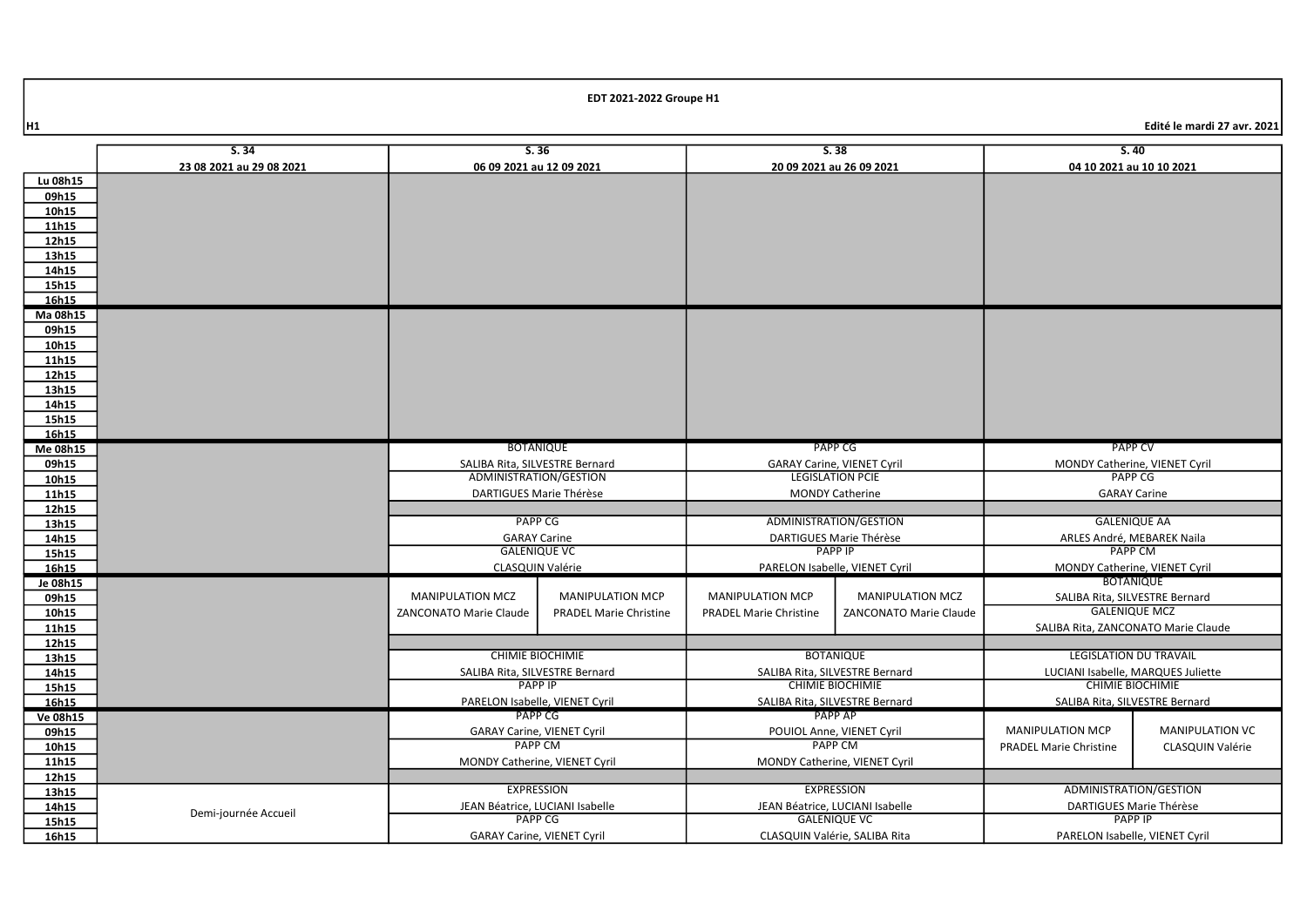|                | S.34                     |                                                          | S.36<br>S.38                  |                                                        | S.40                           |                                                 |                        |
|----------------|--------------------------|----------------------------------------------------------|-------------------------------|--------------------------------------------------------|--------------------------------|-------------------------------------------------|------------------------|
|                | 23 08 2021 au 29 08 2021 | 06 09 2021 au 12 09 2021                                 |                               | 20 09 2021 au 26 09 2021                               |                                | 04 10 2021 au 10 10 2021                        |                        |
| Lu 08h15       |                          |                                                          |                               |                                                        |                                |                                                 |                        |
| 09h15          |                          |                                                          |                               |                                                        |                                |                                                 |                        |
| 10h15          |                          |                                                          |                               |                                                        |                                |                                                 |                        |
| 11h15          |                          |                                                          |                               |                                                        |                                |                                                 |                        |
| 12h15          |                          |                                                          |                               |                                                        |                                |                                                 |                        |
| 13h15          |                          |                                                          |                               |                                                        |                                |                                                 |                        |
| 14h15          |                          |                                                          |                               |                                                        |                                |                                                 |                        |
| 15h15          |                          |                                                          |                               |                                                        |                                |                                                 |                        |
| 16h15          |                          |                                                          |                               |                                                        |                                |                                                 |                        |
| Ma 08h15       |                          |                                                          |                               |                                                        |                                |                                                 |                        |
| 09h15          |                          |                                                          |                               |                                                        |                                |                                                 |                        |
| 10h15          |                          |                                                          |                               |                                                        |                                |                                                 |                        |
| 11h15          |                          |                                                          |                               |                                                        |                                |                                                 |                        |
| 12h15          |                          |                                                          |                               |                                                        |                                |                                                 |                        |
| 13h15          |                          |                                                          |                               |                                                        |                                |                                                 |                        |
| 14h15          |                          |                                                          |                               |                                                        |                                |                                                 |                        |
| 15h15          |                          |                                                          |                               |                                                        |                                |                                                 |                        |
| 16h15          |                          | <b>BOTANIQUE</b>                                         |                               |                                                        | PAPP CG                        | <b>PAPP CV</b>                                  |                        |
| Me 08h15       |                          |                                                          |                               |                                                        |                                |                                                 |                        |
| 09h15          |                          | SALIBA Rita, SILVESTRE Bernard<br>ADMINISTRATION/GESTION |                               | GARAY Carine, VIENET Cyril<br><b>LEGISLATION PCIE</b>  |                                | MONDY Catherine, VIENET Cyril<br><b>PAPP CG</b> |                        |
| 10h15<br>11h15 |                          | DARTIGUES Marie Thérèse                                  |                               | <b>MONDY Catherine</b>                                 |                                | <b>GARAY Carine</b>                             |                        |
| 12h15          |                          |                                                          |                               |                                                        |                                |                                                 |                        |
| 13h15          |                          | <b>PAPP CG</b>                                           |                               |                                                        | ADMINISTRATION/GESTION         | <b>GALENIQUE AA</b>                             |                        |
| 14h15          |                          | <b>GARAY Carine</b>                                      |                               | DARTIGUES Marie Thérèse                                |                                | ARLES André, MEBAREK Naila                      |                        |
| 15h15          |                          | <b>GALENIQUE VC</b>                                      |                               | <b>PAPP IP</b>                                         |                                | <b>PAPP CM</b>                                  |                        |
| 16h15          |                          | CLASQUIN Valérie                                         |                               | PARELON Isabelle, VIENET Cyril                         |                                | MONDY Catherine, VIENET Cyril                   |                        |
| Je 08h15       |                          |                                                          |                               |                                                        |                                | <b>BOTANIQUE</b>                                |                        |
| 09h15          |                          | <b>MANIPULATION MCZ</b>                                  | <b>MANIPULATION MCP</b>       | <b>MANIPULATION MCP</b>                                | <b>MANIPULATION MCZ</b>        | SALIBA Rita, SILVESTRE Bernard                  |                        |
| 10h15          |                          | <b>ZANCONATO Marie Claude</b>                            | <b>PRADEL Marie Christine</b> | <b>PRADEL Marie Christine</b>                          | ZANCONATO Marie Claude         | <b>GALENIQUE MCZ</b>                            |                        |
| 11h15          |                          |                                                          |                               |                                                        |                                | SALIBA Rita, ZANCONATO Marie Claude             |                        |
| 12h15          |                          |                                                          |                               |                                                        |                                |                                                 |                        |
| 13h15          |                          | <b>CHIMIE BIOCHIMIE</b>                                  |                               |                                                        | <b>BOTANIQUE</b>               | <b>LEGISLATION DU TRAVAIL</b>                   |                        |
| 14h15          |                          | SALIBA Rita, SILVESTRE Bernard                           |                               |                                                        | SALIBA Rita, SILVESTRE Bernard | LUCIANI Isabelle, MARQUES Juliette              |                        |
| 15h15          |                          | <b>PAPP IP</b>                                           |                               | <b>CHIMIE BIOCHIMIE</b>                                |                                | <b>CHIMIE BIOCHIMIE</b>                         |                        |
| 16h15          |                          | PARELON Isabelle, VIENET Cyril                           |                               | SALIBA Rita, SILVESTRE Bernard                         |                                | SALIBA Rita, SILVESTRE Bernard                  |                        |
| Ve 08h15       |                          |                                                          | PAPP CG                       |                                                        | PAPP AP                        |                                                 |                        |
| 09h15          |                          | <b>GARAY Carine, VIENET Cyril</b>                        |                               | POUIOL Anne, VIENET Cyril                              |                                | <b>MANIPULATION MCP</b>                         | <b>MANIPULATION VC</b> |
| 10h15          |                          | <b>PAPP CM</b>                                           |                               | <b>PAPP CM</b>                                         |                                | <b>PRADEL Marie Christine</b>                   | CLASQUIN Valérie       |
| 11h15          |                          | MONDY Catherine, VIENET Cyril                            |                               | MONDY Catherine, VIENET Cyril                          |                                |                                                 |                        |
| 12h15          |                          |                                                          |                               |                                                        |                                |                                                 |                        |
| 13h15          |                          | <b>EXPRESSION</b>                                        |                               | <b>EXPRESSION</b>                                      |                                | ADMINISTRATION/GESTION                          |                        |
| 14h15          | Demi-journée Accueil     | JEAN Béatrice, LUCIANI Isabelle                          | PAPP <sub>CG</sub>            | JEAN Béatrice, LUCIANI Isabelle<br><b>GALENIQUE VC</b> |                                | DARTIGUES Marie Thérèse<br><b>PAPP IP</b>       |                        |
| 15h15          |                          |                                                          |                               |                                                        |                                |                                                 |                        |
| 16h15          |                          | <b>GARAY Carine, VIENET Cyril</b>                        |                               |                                                        | CLASQUIN Valérie, SALIBA Rita  | PARELON Isabelle, VIENET Cyril                  |                        |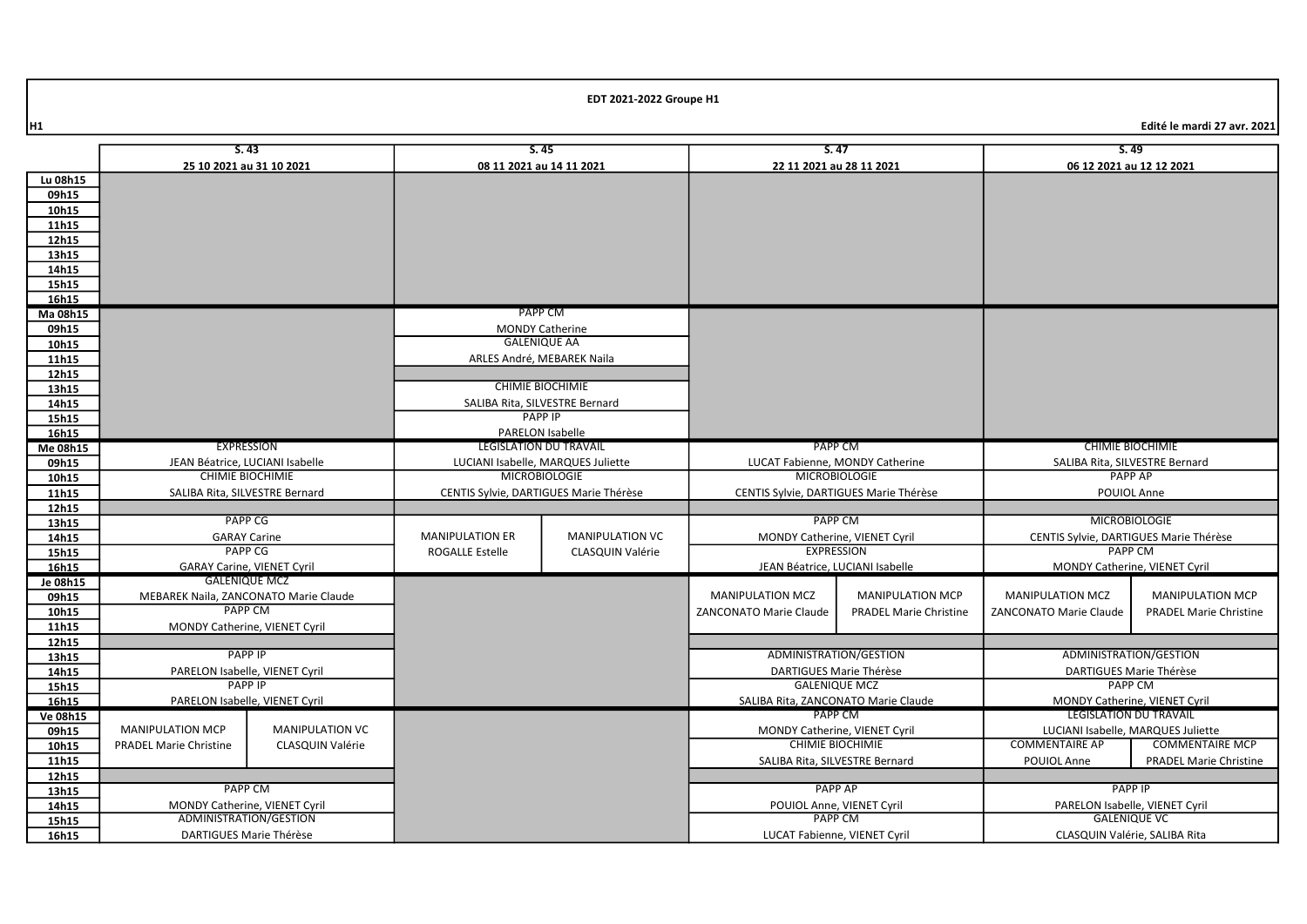|                | S.43                                      |                        | S.45                                   |                                                 | S.47                                     |                                    | S.49                               |                                        |
|----------------|-------------------------------------------|------------------------|----------------------------------------|-------------------------------------------------|------------------------------------------|------------------------------------|------------------------------------|----------------------------------------|
|                | 25 10 2021 au 31 10 2021                  |                        |                                        | 08 11 2021 au 14 11 2021                        | 22 11 2021 au 28 11 2021                 |                                    | 06 12 2021 au 12 12 2021           |                                        |
| Lu 08h15       |                                           |                        |                                        |                                                 |                                          |                                    |                                    |                                        |
| 09h15          |                                           |                        |                                        |                                                 |                                          |                                    |                                    |                                        |
| 10h15          |                                           |                        |                                        |                                                 |                                          |                                    |                                    |                                        |
| 11h15          |                                           |                        |                                        |                                                 |                                          |                                    |                                    |                                        |
| 12h15          |                                           |                        |                                        |                                                 |                                          |                                    |                                    |                                        |
| 13h15          |                                           |                        |                                        |                                                 |                                          |                                    |                                    |                                        |
| 14h15          |                                           |                        |                                        |                                                 |                                          |                                    |                                    |                                        |
| 15h15          |                                           |                        |                                        |                                                 |                                          |                                    |                                    |                                        |
| 16h15          |                                           |                        |                                        |                                                 |                                          |                                    |                                    |                                        |
| Ma 08h15       |                                           |                        |                                        | <b>PAPP CM</b>                                  |                                          |                                    |                                    |                                        |
| 09h15          |                                           |                        | <b>MONDY Catherine</b>                 | <b>GALENIQUE AA</b>                             |                                          |                                    |                                    |                                        |
| 10h15          |                                           |                        |                                        |                                                 |                                          |                                    |                                    |                                        |
| 11h15          |                                           |                        | ARLES André, MEBAREK Naila             |                                                 |                                          |                                    |                                    |                                        |
| 12h15          |                                           |                        | <b>CHIMIE BIOCHIMIE</b>                |                                                 |                                          |                                    |                                    |                                        |
| 13h15<br>14h15 |                                           |                        | SALIBA Rita, SILVESTRE Bernard         |                                                 |                                          |                                    |                                    |                                        |
| 15h15          |                                           |                        |                                        | <b>PAPP IP</b>                                  |                                          |                                    |                                    |                                        |
| 16h15          |                                           |                        |                                        | PARELON Isabelle                                |                                          |                                    |                                    |                                        |
| Me 08h15       | <b>EXPRESSION</b>                         |                        | <b>LEGISLATION DU TRAVAIL</b>          |                                                 | PAPP CM                                  |                                    | <b>CHIMIE BIOCHIMIE</b>            |                                        |
| 09h15          | JEAN Béatrice, LUCIANI Isabelle           |                        | LUCIANI Isabelle, MARQUES Juliette     |                                                 | LUCAT Fabienne, MONDY Catherine          |                                    | SALIBA Rita, SILVESTRE Bernard     |                                        |
| 10h15          | <b>CHIMIE BIOCHIMIE</b>                   |                        | <b>MICROBIOLOGIE</b>                   |                                                 | <b>MICROBIOLOGIE</b>                     |                                    | <b>PAPP AP</b>                     |                                        |
| 11h15          | SALIBA Rita, SILVESTRE Bernard            |                        | CENTIS Sylvie, DARTIGUES Marie Thérèse |                                                 | CENTIS Sylvie, DARTIGUES Marie Thérèse   |                                    | POUIOL Anne                        |                                        |
| 12h15          |                                           |                        |                                        |                                                 |                                          |                                    |                                    |                                        |
| 13h15          | <b>PAPP CG</b>                            |                        |                                        |                                                 | <b>PAPP CM</b>                           |                                    |                                    | <b>MICROBIOLOGIE</b>                   |
| 14h15          | <b>GARAY Carine</b>                       |                        | <b>MANIPULATION ER</b>                 | <b>MANIPULATION VC</b>                          |                                          | MONDY Catherine, VIENET Cyril      |                                    | CENTIS Sylvie, DARTIGUES Marie Thérèse |
| 15h15          | <b>PAPP CG</b>                            |                        | ROGALLE Estelle<br>CLASQUIN Valérie    |                                                 | <b>EXPRESSION</b>                        |                                    | <b>PAPP CM</b>                     |                                        |
| 16h15          | <b>GARAY Carine, VIENET Cyril</b>         |                        |                                        |                                                 | JEAN Béatrice, LUCIANI Isabelle          |                                    |                                    | MONDY Catherine, VIENET Cyril          |
| Je 08h15       | <b>GALENIQUE MCZ</b>                      |                        |                                        |                                                 |                                          |                                    |                                    |                                        |
| 09h15          | MEBAREK Naila, ZANCONATO Marie Claude     |                        |                                        |                                                 | <b>MANIPULATION MCZ</b>                  | <b>MANIPULATION MCP</b>            | <b>MANIPULATION MCZ</b>            | <b>MANIPULATION MCP</b>                |
| 10h15          | <b>PAPP CM</b>                            |                        |                                        |                                                 | ZANCONATO Marie Claude                   | <b>PRADEL Marie Christine</b>      | ZANCONATO Marie Claude             | <b>PRADEL Marie Christine</b>          |
| 11h15          | MONDY Catherine, VIENET Cyril             |                        |                                        |                                                 |                                          |                                    |                                    |                                        |
| 12h15          | <b>PAPP IP</b>                            |                        |                                        |                                                 | ADMINISTRATION/GESTION                   |                                    | ADMINISTRATION/GESTION             |                                        |
| 13h15          |                                           |                        |                                        |                                                 |                                          |                                    |                                    |                                        |
| 14h15          | PARELON Isabelle, VIENET Cyril            |                        |                                        | DARTIGUES Marie Thérèse<br><b>GALENIQUE MCZ</b> |                                          | DARTIGUES Marie Thérèse<br>PAPP CM |                                    |                                        |
| 15h15<br>16h15 | PAPP IP<br>PARELON Isabelle, VIENET Cyril |                        | SALIBA Rita, ZANCONATO Marie Claude    |                                                 | MONDY Catherine, VIENET Cyril            |                                    |                                    |                                        |
| Ve 08h15       |                                           |                        |                                        |                                                 |                                          |                                    | <b>LEGISLATION DU TRAVAIL</b>      |                                        |
| 09h15          | <b>MANIPULATION MCP</b>                   | <b>MANIPULATION VC</b> |                                        |                                                 | PAPP CM<br>MONDY Catherine, VIENET Cyril |                                    | LUCIANI Isabelle, MARQUES Juliette |                                        |
| 10h15          | <b>PRADEL Marie Christine</b>             | CLASQUIN Valérie       |                                        |                                                 | <b>CHIMIE BIOCHIMIE</b>                  |                                    | <b>COMMENTAIRE AP</b>              | <b>COMMENTAIRE MCP</b>                 |
| 11h15          |                                           |                        |                                        |                                                 | SALIBA Rita, SILVESTRE Bernard           |                                    | POUIOL Anne                        | <b>PRADEL Marie Christine</b>          |
| 12h15          |                                           |                        |                                        |                                                 |                                          |                                    |                                    |                                        |
| 13h15          |                                           | PAPP CM                |                                        | <b>PAPP AP</b>                                  |                                          | <b>PAPP IP</b>                     |                                    |                                        |
| 14h15          | MONDY Catherine, VIENET Cyril             |                        |                                        |                                                 | POUIOL Anne, VIENET Cyril                |                                    | PARELON Isabelle, VIENET Cyril     |                                        |
| 15h15          | ADMINISTRATION/GESTION                    |                        |                                        |                                                 | <b>PAPP CM</b>                           |                                    | <b>GALENIQUE VC</b>                |                                        |
| 16h15          | DARTIGUES Marie Thérèse                   |                        |                                        |                                                 | LUCAT Fabienne, VIENET Cyril             |                                    | CLASQUIN Valérie, SALIBA Rita      |                                        |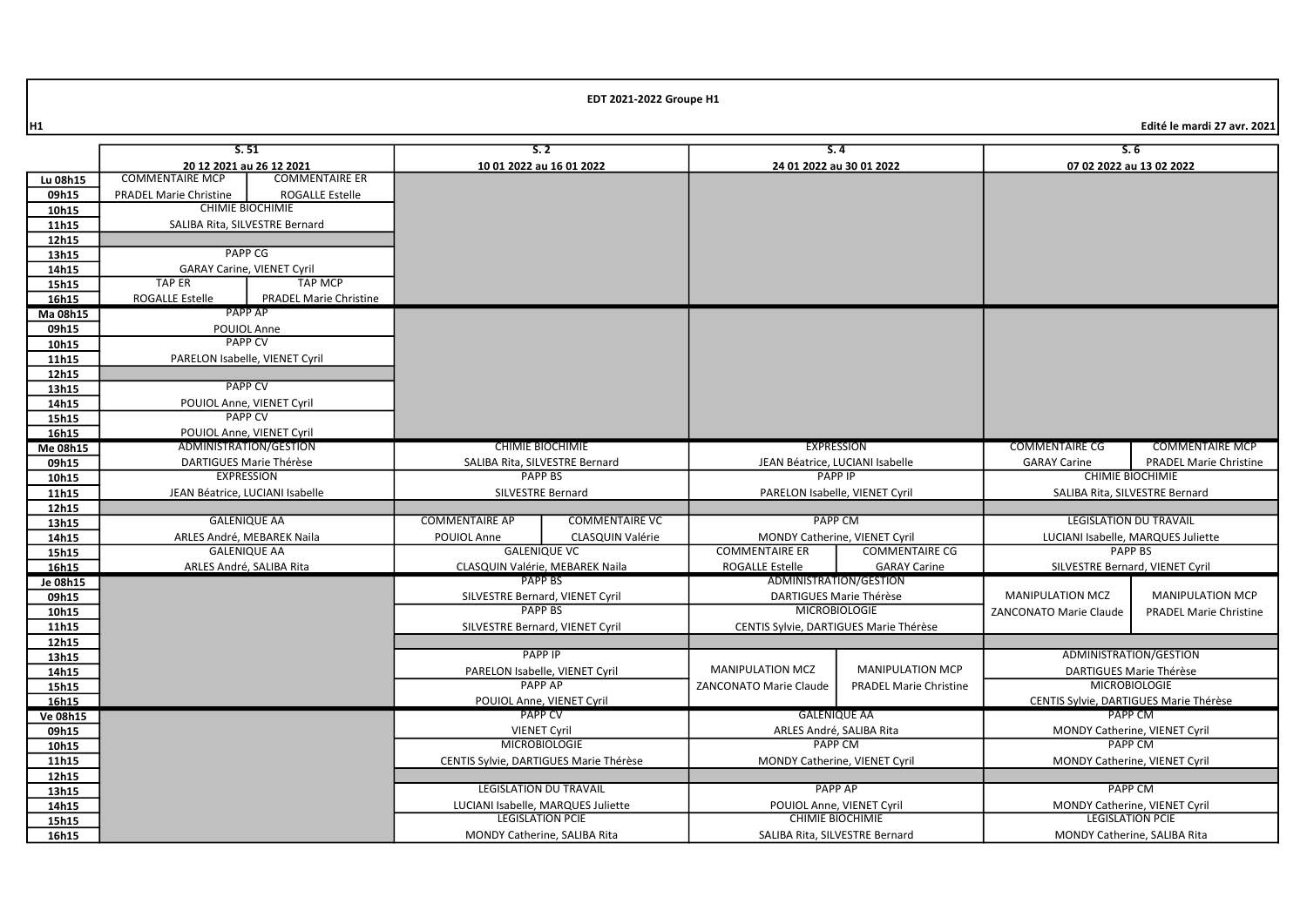16h15

|                   | 5.51                                                     |                               | S.2                            |                                    | S.4                                            |                                | S.6                                    |                                |
|-------------------|----------------------------------------------------------|-------------------------------|--------------------------------|------------------------------------|------------------------------------------------|--------------------------------|----------------------------------------|--------------------------------|
|                   | 20 12 2021 au 26 12 2021                                 | <b>COMMENTAIRE ER</b>         | 10 01 2022 au 16 01 2022       |                                    | 24 01 2022 au 30 01 2022                       |                                | 07 02 2022 au 13 02 2022               |                                |
| Lu 08h15          | <b>COMMENTAIRE MCP</b>                                   |                               |                                |                                    |                                                |                                |                                        |                                |
| 09h15             | <b>PRADEL Marie Christine</b><br><b>CHIMIE BIOCHIMIE</b> | ROGALLE Estelle               |                                |                                    |                                                |                                |                                        |                                |
| 10h15             |                                                          |                               |                                |                                    |                                                |                                |                                        |                                |
| 11h15             | SALIBA Rita, SILVESTRE Bernard                           |                               |                                |                                    |                                                |                                |                                        |                                |
| 12h15             |                                                          | <b>PAPP CG</b>                |                                |                                    |                                                |                                |                                        |                                |
| 13h15             |                                                          |                               |                                |                                    |                                                |                                |                                        |                                |
| 14h15             | <b>GARAY Carine, VIENET Cyril</b><br><b>TAP ER</b>       | <b>TAP MCP</b>                |                                |                                    |                                                |                                |                                        |                                |
| 15h15             |                                                          |                               |                                |                                    |                                                |                                |                                        |                                |
| 16h15             | <b>ROGALLE Estelle</b><br><b>PAPP AP</b>                 | <b>PRADEL Marie Christine</b> |                                |                                    |                                                |                                |                                        |                                |
| Ma 08h15          |                                                          |                               |                                |                                    |                                                |                                |                                        |                                |
| 09h15             | POUIOL Anne<br><b>PAPP CV</b>                            |                               |                                |                                    |                                                |                                |                                        |                                |
| 10h15             |                                                          |                               |                                |                                    |                                                |                                |                                        |                                |
| 11h15             | PARELON Isabelle, VIENET Cyril                           |                               |                                |                                    |                                                |                                |                                        |                                |
| 12h15             | <b>PAPP CV</b>                                           |                               |                                |                                    |                                                |                                |                                        |                                |
| 13h15<br>14h15    | POUIOL Anne, VIENET Cyril                                |                               |                                |                                    |                                                |                                |                                        |                                |
| 15h15             | <b>PAPP CV</b>                                           |                               |                                |                                    |                                                |                                |                                        |                                |
|                   | POUIOL Anne, VIENET Cyril                                |                               |                                |                                    |                                                |                                |                                        |                                |
| 16h15<br>Me 08h15 |                                                          |                               |                                | CHIMIE BIOCHIMIE                   |                                                | <b>EXPRESSION</b>              | <b>COMMENTAIRE CG</b>                  | <b>COMMENTAIRE MCP</b>         |
| 09h15             | ADMINISTRATION/GESTION<br>DARTIGUES Marie Thérèse        |                               | SALIBA Rita, SILVESTRE Bernard |                                    | JEAN Béatrice, LUCIANI Isabelle                |                                | <b>GARAY Carine</b>                    | <b>PRADEL Marie Christine</b>  |
| 10h15             | <b>EXPRESSION</b>                                        |                               | <b>PAPP BS</b>                 |                                    |                                                | <b>PAPP IP</b>                 | <b>CHIMIE BIOCHIMIE</b>                |                                |
| 11h15             | JEAN Béatrice, LUCIANI Isabelle                          |                               | SILVESTRE Bernard              |                                    |                                                | PARELON Isabelle, VIENET Cyril |                                        | SALIBA Rita, SILVESTRE Bernard |
| 12h15             |                                                          |                               |                                |                                    |                                                |                                |                                        |                                |
| 13h15             | <b>GALENIQUE AA</b>                                      |                               | <b>COMMENTAIRE AP</b>          | <b>COMMENTAIRE VC</b>              | <b>PAPP CM</b>                                 |                                | <b>LEGISLATION DU TRAVAIL</b>          |                                |
| 14h15             | ARLES André, MEBAREK Naila                               |                               | POUIOL Anne                    | CLASQUIN Valérie                   | MONDY Catherine, VIENET Cyril                  |                                | LUCIANI Isabelle, MARQUES Juliette     |                                |
| 15h15             | <b>GALENIQUE AA</b>                                      |                               |                                | <b>GALENIQUE VC</b>                | <b>COMMENTAIRE ER</b><br><b>COMMENTAIRE CG</b> |                                | PAPP BS                                |                                |
| 16h15             | ARLES André, SALIBA Rita                                 |                               |                                | CLASQUIN Valérie, MEBAREK Naila    | ROGALLE Estelle                                | <b>GARAY Carine</b>            | SILVESTRE Bernard, VIENET Cyril        |                                |
| Je 08h15          |                                                          |                               |                                | <b>PAPP BS</b>                     | ADMINISTRATION/GESTION                         |                                |                                        |                                |
| 09h15             |                                                          |                               |                                | SILVESTRE Bernard, VIENET Cyril    | DARTIGUES Marie Thérèse                        |                                | <b>MANIPULATION MCZ</b>                | <b>MANIPULATION MCP</b>        |
| 10h15             |                                                          |                               |                                | PAPP BS                            | <b>MICROBIOLOGIE</b>                           |                                | <b>ZANCONATO Marie Claude</b>          | <b>PRADEL Marie Christine</b>  |
| 11h15             |                                                          |                               |                                | SILVESTRE Bernard, VIENET Cyril    | CENTIS Sylvie, DARTIGUES Marie Thérèse         |                                |                                        |                                |
| 12h15             |                                                          |                               |                                |                                    |                                                |                                |                                        |                                |
| 13h15             |                                                          |                               |                                | <b>PAPP IP</b>                     |                                                |                                | ADMINISTRATION/GESTION                 |                                |
| 14h15             |                                                          |                               |                                | PARELON Isabelle, VIENET Cyril     | <b>MANIPULATION MCZ</b>                        | <b>MANIPULATION MCP</b>        | DARTIGUES Marie Thérèse                |                                |
| 15h15             |                                                          |                               |                                | <b>PAPP AP</b>                     | <b>ZANCONATO Marie Claude</b>                  | <b>PRADEL Marie Christine</b>  | <b>MICROBIOLOGIE</b>                   |                                |
| 16h15             |                                                          |                               | POUIOL Anne, VIENET Cyril      |                                    |                                                |                                | CENTIS Sylvie, DARTIGUES Marie Thérèse |                                |
| <b>Ve 08h15</b>   |                                                          |                               | <b>PAPP CV</b>                 |                                    | <b>GALENIQUE AA</b>                            |                                | PAPP CM                                |                                |
| 09h15             |                                                          |                               | <b>VIENET Cyril</b>            |                                    | ARLES André, SALIBA Rita                       |                                | MONDY Catherine, VIENET Cyril          |                                |
| 10h15             | <b>MICROBIOLOGIE</b>                                     |                               |                                | <b>PAPP CM</b>                     |                                                | <b>PAPP CM</b>                 |                                        |                                |
| 11h15             | CENTIS Sylvie, DARTIGUES Marie Thérèse                   |                               |                                | MONDY Catherine, VIENET Cyril      |                                                | MONDY Catherine, VIENET Cyril  |                                        |                                |
| 12h15             |                                                          |                               |                                |                                    |                                                |                                |                                        |                                |
| 13h15             |                                                          | <b>LEGISLATION DU TRAVAIL</b> |                                |                                    | <b>PAPP AP</b>                                 |                                | <b>PAPP CM</b>                         |                                |
| 14h15             |                                                          |                               |                                | LUCIANI Isabelle, MARQUES Juliette | POUIOL Anne, VIENET Cyril                      |                                | MONDY Catherine, VIENET Cyril          |                                |
| 15h15             |                                                          |                               |                                | <b>LEGISLATION PCIE</b>            |                                                | CHIMIE BIOCHIMIE               | <b>LEGISLATION PCIE</b>                |                                |
| 16h15             |                                                          |                               | MONDY Catherine, SALIBA Rita   |                                    | SALIBA Rita, SILVESTRE Bernard                 |                                | MONDY Catherine, SALIBA Rita           |                                |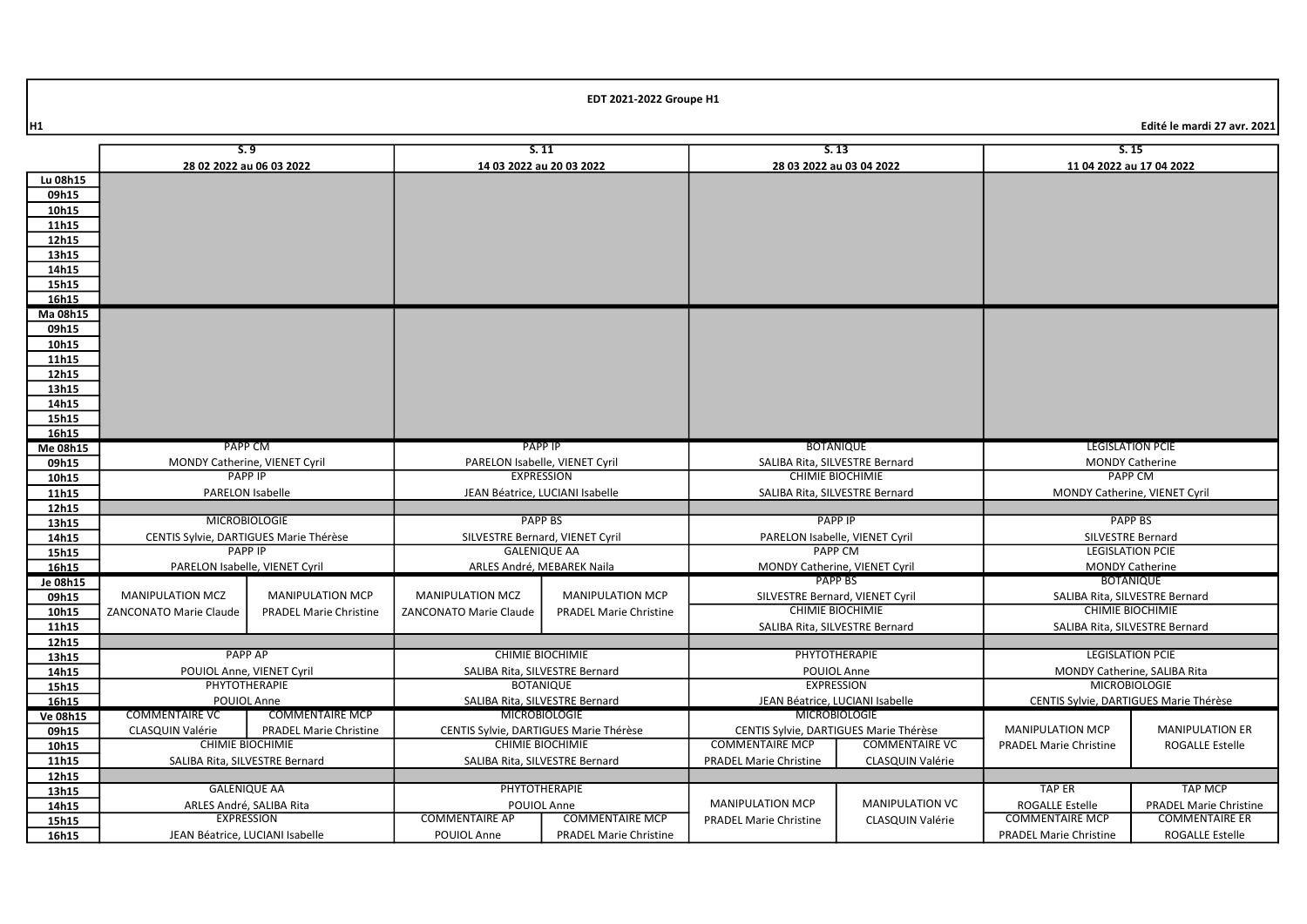|                | S.9                                             |                                               | S.11                                             |                                        |                                                    | S.13                                   |                                        | S.15                                     |
|----------------|-------------------------------------------------|-----------------------------------------------|--------------------------------------------------|----------------------------------------|----------------------------------------------------|----------------------------------------|----------------------------------------|------------------------------------------|
|                | 28 02 2022 au 06 03 2022                        |                                               | 14 03 2022 au 20 03 2022                         |                                        |                                                    | 28 03 2022 au 03 04 2022               |                                        | 11 04 2022 au 17 04 2022                 |
| Lu 08h15       |                                                 |                                               |                                                  |                                        |                                                    |                                        |                                        |                                          |
| 09h15          |                                                 |                                               |                                                  |                                        |                                                    |                                        |                                        |                                          |
| 10h15          |                                                 |                                               |                                                  |                                        |                                                    |                                        |                                        |                                          |
| 11h15          |                                                 |                                               |                                                  |                                        |                                                    |                                        |                                        |                                          |
| 12h15          |                                                 |                                               |                                                  |                                        |                                                    |                                        |                                        |                                          |
| 13h15          |                                                 |                                               |                                                  |                                        |                                                    |                                        |                                        |                                          |
| 14h15          |                                                 |                                               |                                                  |                                        |                                                    |                                        |                                        |                                          |
| 15h15          |                                                 |                                               |                                                  |                                        |                                                    |                                        |                                        |                                          |
| 16h15          |                                                 |                                               |                                                  |                                        |                                                    |                                        |                                        |                                          |
| Ma 08h15       |                                                 |                                               |                                                  |                                        |                                                    |                                        |                                        |                                          |
| 09h15          |                                                 |                                               |                                                  |                                        |                                                    |                                        |                                        |                                          |
| 10h15          |                                                 |                                               |                                                  |                                        |                                                    |                                        |                                        |                                          |
| 11h15          |                                                 |                                               |                                                  |                                        |                                                    |                                        |                                        |                                          |
| 12h15          |                                                 |                                               |                                                  |                                        |                                                    |                                        |                                        |                                          |
| 13h15          |                                                 |                                               |                                                  |                                        |                                                    |                                        |                                        |                                          |
| 14h15          |                                                 |                                               |                                                  |                                        |                                                    |                                        |                                        |                                          |
| 15h15          |                                                 |                                               |                                                  |                                        |                                                    |                                        |                                        |                                          |
| 16h15          |                                                 |                                               |                                                  |                                        |                                                    |                                        |                                        | <b>LEGISLATION PCIE</b>                  |
| Me 08h15       | <b>PAPP CM</b>                                  |                                               | <b>PAPP IP</b><br>PARELON Isabelle, VIENET Cyril |                                        | <b>BOTANIQUE</b><br>SALIBA Rita, SILVESTRE Bernard |                                        |                                        |                                          |
| 09h15          | MONDY Catherine, VIENET Cyril<br><b>PAPP IP</b> |                                               | <b>EXPRESSION</b>                                |                                        | <b>CHIMIE BIOCHIMIE</b>                            |                                        |                                        | <b>MONDY Catherine</b><br><b>PAPP CM</b> |
| 10h15          | PARELON Isabelle                                |                                               | JEAN Béatrice, LUCIANI Isabelle                  |                                        | SALIBA Rita, SILVESTRE Bernard                     |                                        |                                        | MONDY Catherine, VIENET Cyril            |
| 11h15<br>12h15 |                                                 |                                               |                                                  |                                        |                                                    |                                        |                                        |                                          |
| 13h15          | <b>MICROBIOLOGIE</b>                            |                                               |                                                  | <b>PAPP BS</b>                         |                                                    | <b>PAPP IP</b>                         |                                        | <b>PAPP BS</b>                           |
| 14h15          | CENTIS Sylvie, DARTIGUES Marie Thérèse          |                                               |                                                  | SILVESTRE Bernard, VIENET Cyril        |                                                    | PARELON Isabelle, VIENET Cyril         |                                        | SILVESTRE Bernard                        |
| 15h15          | <b>PAPP IP</b>                                  |                                               |                                                  | <b>GALENIQUE AA</b>                    |                                                    | <b>PAPP CM</b>                         |                                        | <b>LEGISLATION PCIE</b>                  |
| 16h15          | PARELON Isabelle, VIENET Cyril                  |                                               | ARLES André, MEBAREK Naila                       |                                        |                                                    | MONDY Catherine, VIENET Cyril          |                                        | <b>MONDY Catherine</b>                   |
| Je 08h15       |                                                 |                                               |                                                  |                                        |                                                    | PAPP BS                                |                                        | <b>BOTANIQUE</b>                         |
| 09h15          | <b>MANIPULATION MCZ</b>                         | <b>MANIPULATION MCP</b>                       | <b>MANIPULATION MCZ</b>                          | <b>MANIPULATION MCP</b>                | SILVESTRE Bernard, VIENET Cyril                    |                                        | SALIBA Rita, SILVESTRE Bernard         |                                          |
| 10h15          | <b>ZANCONATO Marie Claude</b>                   | <b>PRADEL Marie Christine</b>                 | <b>ZANCONATO Marie Claude</b>                    | <b>PRADEL Marie Christine</b>          |                                                    | <b>CHIMIE BIOCHIMIE</b>                |                                        | <b>CHIMIE BIOCHIMIE</b>                  |
| 11h15          |                                                 |                                               |                                                  |                                        |                                                    | SALIBA Rita, SILVESTRE Bernard         |                                        | SALIBA Rita, SILVESTRE Bernard           |
| 12h15          |                                                 |                                               |                                                  |                                        |                                                    |                                        |                                        |                                          |
| 13h15          | <b>PAPP AP</b>                                  |                                               | <b>CHIMIE BIOCHIMIE</b>                          |                                        | PHYTOTHERAPIE                                      |                                        |                                        | <b>LEGISLATION PCIE</b>                  |
| 14h15          | POUIOL Anne, VIENET Cyril                       |                                               | SALIBA Rita, SILVESTRE Bernard                   |                                        | POUIOL Anne                                        |                                        | MONDY Catherine, SALIBA Rita           |                                          |
| 15h15          | PHYTOTHERAPIE<br><b>BOTANIQUE</b>               |                                               |                                                  | <b>EXPRESSION</b>                      |                                                    | <b>MICROBIOLOGIE</b>                   |                                        |                                          |
| 16h15          |                                                 | POUIOL Anne<br>SALIBA Rita, SILVESTRE Bernard |                                                  | JEAN Béatrice, LUCIANI Isabelle        |                                                    |                                        | CENTIS Sylvie, DARTIGUES Marie Thérèse |                                          |
| Ve 08h15       | <b>COMMENTAIRE VC</b>                           | <b>COMMENTAIRE MCP</b>                        | <b>MICROBIOLOGIE</b>                             |                                        | <b>MICROBIOLOGIE</b>                               |                                        |                                        |                                          |
| 09h15          | CLASQUIN Valérie                                | <b>PRADEL Marie Christine</b>                 |                                                  | CENTIS Sylvie, DARTIGUES Marie Thérèse |                                                    | CENTIS Sylvie, DARTIGUES Marie Thérèse | <b>MANIPULATION MCP</b>                | <b>MANIPULATION ER</b>                   |
| 10h15          | <b>CHIMIE BIOCHIMIE</b>                         |                                               | <b>CHIMIE BIOCHIMIE</b>                          |                                        | <b>COMMENTAIRE MCP</b>                             | <b>COMMENTAIRE VC</b>                  | <b>PRADEL Marie Christine</b>          | ROGALLE Estelle                          |
| 11h15          | SALIBA Rita, SILVESTRE Bernard                  |                                               | SALIBA Rita, SILVESTRE Bernard                   |                                        | <b>PRADEL Marie Christine</b>                      | <b>CLASQUIN Valérie</b>                |                                        |                                          |
| 12h15          |                                                 |                                               |                                                  |                                        |                                                    |                                        |                                        |                                          |
| 13h15          | <b>GALENIQUE AA</b>                             |                                               |                                                  | PHYTOTHERAPIE                          |                                                    |                                        | <b>TAP ER</b>                          | <b>TAP MCP</b>                           |
| 14h15          | ARLES André, SALIBA Rita                        |                                               | POUIOL Anne                                      |                                        | <b>MANIPULATION MCP</b>                            | <b>MANIPULATION VC</b>                 | <b>ROGALLE Estelle</b>                 | <b>PRADEL Marie Christine</b>            |
| 15h15          | <b>EXPRESSION</b>                               |                                               | <b>COMMENTAIRE AP</b>                            | <b>COMMENTAIRE MCP</b>                 | <b>PRADEL Marie Christine</b>                      | CLASQUIN Valérie                       | <b>COMMENTAIRE MCP</b>                 | <b>COMMENTAIRE ER</b>                    |
| 16h15          | JEAN Béatrice. LUCIANI Isabelle                 |                                               | POUIOL Anne                                      | <b>PRADEL Marie Christine</b>          |                                                    |                                        | <b>PRADEL Marie Christine</b>          | <b>ROGALLE Estelle</b>                   |